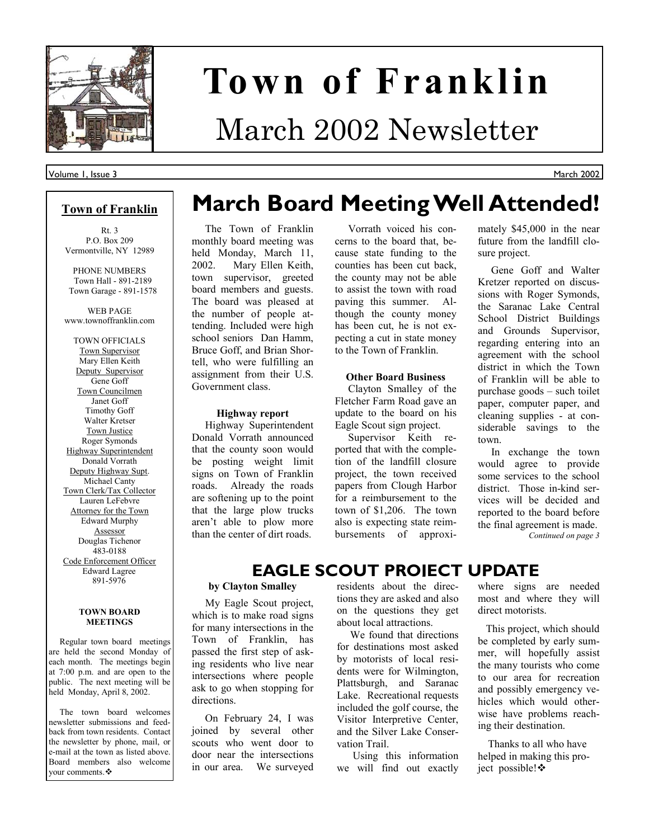

# **Town of Franklin**

## March 2002 Newsletter

#### Volume 1, Issue 3

#### **Town of Franklin**

Rt. 3 P.O. Box 209 Vermontville, NY 12989

PHONE NUMBERS Town Hall - 891-2189 Town Garage - 891-1578

WEB PAGE www.townoffranklin.com

TOWN OFFICIALS Town Supervisor Mary Ellen Keith Deputy Supervisor Gene Goff Town Councilmen Janet Goff Timothy Goff Walter Kretser Town Justice Roger Symonds Highway Superintendent Donald Vorrath Deputy Highway Supt. Michael Canty Town Clerk/Tax Collector Lauren LeFebvre Attorney for the Town Edward Murphy Assessor Douglas Tichenor 483-0188 Code Enforcement Officer Edward Lagree 891-5976

#### **TOWN BOARD MEETINGS**

 Regular town board meetings are held the second Monday of each month. The meetings begin at 7:00 p.m. and are open to the public. The next meeting will be held Monday, April 8, 2002.

 The town board welcomes newsletter submissions and feedback from town residents. Contact the newsletter by phone, mail, or e-mail at the town as listed above. Board members also welcome vour comments.  $\clubsuit$ 

## **March Board Meeting Well Attended!**

#### The Town of Franklin monthly board meeting was held Monday, March 11, 2002. Mary Ellen Keith, town supervisor, greeted board members and guests. The board was pleased at the number of people attending. Included were high school seniors Dan Hamm, Bruce Goff, and Brian Shortell, who were fulfilling an assignment from their U.S. Government class.

#### **Highway report**

 Highway Superintendent Donald Vorrath announced that the county soon would be posting weight limit signs on Town of Franklin roads. Already the roads are softening up to the point that the large plow trucks aren't able to plow more than the center of dirt roads.

 Vorrath voiced his concerns to the board that, because state funding to the counties has been cut back, the county may not be able to assist the town with road paving this summer. Although the county money has been cut, he is not expecting a cut in state money to the Town of Franklin.

#### **Other Board Business**

 Clayton Smalley of the Fletcher Farm Road gave an update to the board on his Eagle Scout sign project.

 Supervisor Keith reported that with the completion of the landfill closure project, the town received papers from Clough Harbor for a reimbursement to the town of \$1,206. The town also is expecting state reimbursements of approximately \$45,000 in the near future from the landfill closure project.

March 2002

 Gene Goff and Walter Kretzer reported on discussions with Roger Symonds, the Saranac Lake Central School District Buildings and Grounds Supervisor, regarding entering into an agreement with the school district in which the Town of Franklin will be able to purchase goods  $-$  such toilet paper, computer paper, and cleaning supplies - at considerable savings to the town.

 In exchange the town would agree to provide some services to the school district. Those in-kind services will be decided and reported to the board before the final agreement is made. *Continued on page 3* 

### **EAGLE SCOUT PROJECT UPDATE**

#### **by Clayton Smalley**

 My Eagle Scout project, which is to make road signs for many intersections in the Town of Franklin, has passed the first step of asking residents who live near intersections where people ask to go when stopping for directions.

 On February 24, I was joined by several other scouts who went door to door near the intersections in our area. We surveyed residents about the directions they are asked and also on the questions they get about local attractions.

 We found that directions for destinations most asked by motorists of local residents were for Wilmington, Plattsburgh, and Saranac Lake. Recreational requests included the golf course, the Visitor Interpretive Center, and the Silver Lake Conservation Trail.

 Using this information we will find out exactly where signs are needed most and where they will direct motorists.

 This project, which should be completed by early summer, will hopefully assist the many tourists who come to our area for recreation and possibly emergency vehicles which would otherwise have problems reaching their destination.

 Thanks to all who have helped in making this project possible! ❖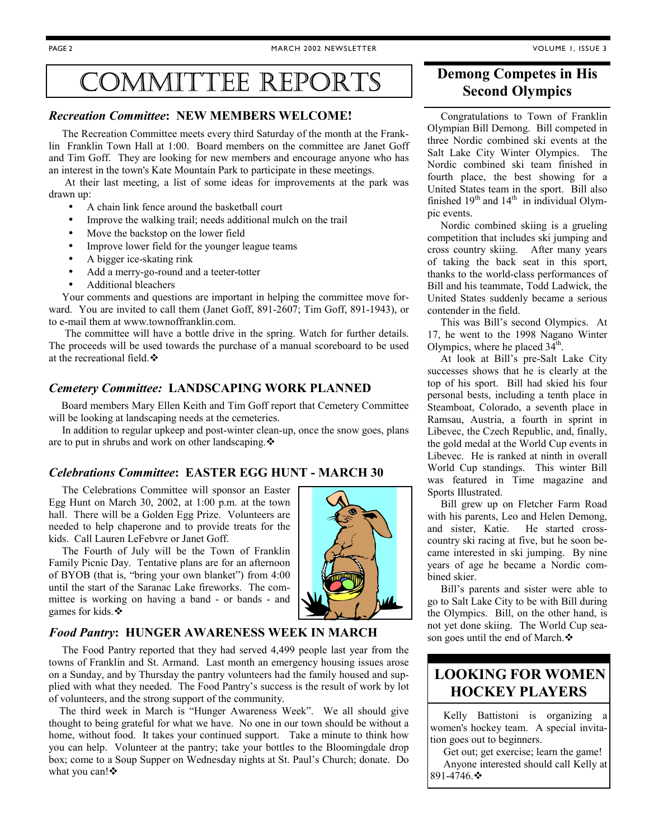## COMMITTEE REPORTS

#### *Recreation Committee***: NEW MEMBERS WELCOME!**

 The Recreation Committee meets every third Saturday of the month at the Franklin Franklin Town Hall at 1:00. Board members on the committee are Janet Goff and Tim Goff. They are looking for new members and encourage anyone who has an interest in the town's Kate Mountain Park to participate in these meetings.

 At their last meeting, a list of some ideas for improvements at the park was drawn up:

- A chain link fence around the basketball court
- Improve the walking trail; needs additional mulch on the trail
- Move the backstop on the lower field
- Improve lower field for the younger league teams
- A bigger ice-skating rink
- Add a merry-go-round and a teeter-totter
- Additional bleachers

 Your comments and questions are important in helping the committee move forward. You are invited to call them (Janet Goff, 891-2607; Tim Goff, 891-1943), or to e-mail them at www.townoffranklin.com.

 The committee will have a bottle drive in the spring. Watch for further details. The proceeds will be used towards the purchase of a manual scoreboard to be used at the recreational field.  $\ddot{\bullet}$ 

#### *Cemetery Committee:* **LANDSCAPING WORK PLANNED**

 Board members Mary Ellen Keith and Tim Goff report that Cemetery Committee will be looking at landscaping needs at the cemeteries.

 In addition to regular upkeep and post-winter clean-up, once the snow goes, plans are to put in shrubs and work on other landscaping. $\cdot$ 

#### *Celebrations Committee***: EASTER EGG HUNT - MARCH 30**

 The Celebrations Committee will sponsor an Easter Egg Hunt on March 30, 2002, at 1:00 p.m. at the town hall. There will be a Golden Egg Prize. Volunteers are needed to help chaperone and to provide treats for the kids. Call Lauren LeFebvre or Janet Goff.

 The Fourth of July will be the Town of Franklin Family Picnic Day. Tentative plans are for an afternoon of BYOB (that is, "bring your own blanket") from  $4:00$ until the start of the Saranac Lake fireworks. The committee is working on having a band - or bands - and games for kids. $\cdot$ 



#### *Food Pantry***: HUNGER AWARENESS WEEK IN MARCH**

 The Food Pantry reported that they had served 4,499 people last year from the towns of Franklin and St. Armand. Last month an emergency housing issues arose on a Sunday, and by Thursday the pantry volunteers had the family housed and supplied with what they needed. The Food Pantry's success is the result of work by lot of volunteers, and the strong support of the community.

The third week in March is "Hunger Awareness Week". We all should give thought to being grateful for what we have. No one in our town should be without a home, without food. It takes your continued support. Take a minute to think how you can help. Volunteer at the pantry; take your bottles to the Bloomingdale drop box; come to a Soup Supper on Wednesday nights at St. Paul's Church; donate. Do what you can! $\cdot$ 

#### **Demong Competes in His Second Olympics**

 Congratulations to Town of Franklin Olympian Bill Demong. Bill competed in three Nordic combined ski events at the Salt Lake City Winter Olympics. The Nordic combined ski team finished in fourth place, the best showing for a United States team in the sport. Bill also finished  $19<sup>th</sup>$  and  $14<sup>th</sup>$  in individual Olympic events.

 Nordic combined skiing is a grueling competition that includes ski jumping and cross country skiing. After many years of taking the back seat in this sport, thanks to the world-class performances of Bill and his teammate, Todd Ladwick, the United States suddenly became a serious contender in the field.

This was Bill's second Olympics. At 17, he went to the 1998 Nagano Winter Olympics, where he placed  $34<sup>th</sup>$ .

At look at Bill's pre-Salt Lake City successes shows that he is clearly at the top of his sport. Bill had skied his four personal bests, including a tenth place in Steamboat, Colorado, a seventh place in Ramsau, Austria, a fourth in sprint in Libevec, the Czech Republic, and, finally, the gold medal at the World Cup events in Libevec. He is ranked at ninth in overall World Cup standings. This winter Bill was featured in Time magazine and Sports Illustrated.

 Bill grew up on Fletcher Farm Road with his parents, Leo and Helen Demong, and sister, Katie. He started crosscountry ski racing at five, but he soon became interested in ski jumping. By nine years of age he became a Nordic combined skier.

Bill's parents and sister were able to go to Salt Lake City to be with Bill during the Olympics. Bill, on the other hand, is not yet done skiing. The World Cup season goes until the end of March. $\cdot$ 

#### **LOOKING FOR WOMEN HOCKEY PLAYERS**

Kelly Battistoni is organizing women's hockey team. A special invitation goes out to beginners.

 Get out; get exercise; learn the game! Anyone interested should call Kelly at 891-4746. \*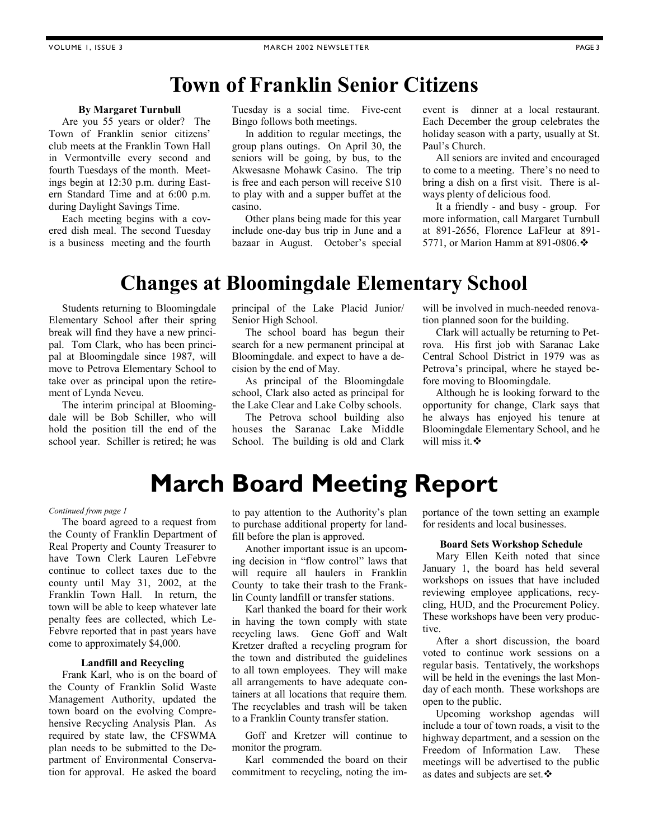### **Town of Franklin Senior Citizens**

#### **By Margaret Turnbull**

 Are you 55 years or older? The Town of Franklin senior citizens' club meets at the Franklin Town Hall in Vermontville every second and fourth Tuesdays of the month. Meetings begin at 12:30 p.m. during Eastern Standard Time and at 6:00 p.m. during Daylight Savings Time.

 Each meeting begins with a covered dish meal. The second Tuesday is a business meeting and the fourth

Tuesday is a social time. Five-cent Bingo follows both meetings.

 In addition to regular meetings, the group plans outings. On April 30, the seniors will be going, by bus, to the Akwesasne Mohawk Casino. The trip is free and each person will receive \$10 to play with and a supper buffet at the casino.

 Other plans being made for this year include one-day bus trip in June and a bazaar in August. October's special event is dinner at a local restaurant. Each December the group celebrates the holiday season with a party, usually at St. Paul's Church.

 All seniors are invited and encouraged to come to a meeting. There's no need to bring a dish on a first visit. There is always plenty of delicious food.

 It a friendly - and busy - group. For more information, call Margaret Turnbull at 891-2656, Florence LaFleur at 891- 5771, or Marion Hamm at 891-0806. $\div$ 

### **Changes at Bloomingdale Elementary School**

 Students returning to Bloomingdale Elementary School after their spring break will find they have a new principal. Tom Clark, who has been principal at Bloomingdale since 1987, will move to Petrova Elementary School to take over as principal upon the retirement of Lynda Neveu.

 The interim principal at Bloomingdale will be Bob Schiller, who will hold the position till the end of the school year. Schiller is retired; he was

principal of the Lake Placid Junior/ Senior High School.

 The school board has begun their search for a new permanent principal at Bloomingdale. and expect to have a decision by the end of May.

 As principal of the Bloomingdale school, Clark also acted as principal for the Lake Clear and Lake Colby schools.

 The Petrova school building also houses the Saranac Lake Middle School. The building is old and Clark will be involved in much-needed renovation planned soon for the building.

 Clark will actually be returning to Petrova. His first job with Saranac Lake Central School District in 1979 was as Petrova's principal, where he stayed before moving to Bloomingdale.

 Although he is looking forward to the opportunity for change, Clark says that he always has enjoyed his tenure at Bloomingdale Elementary School, and he will miss it.  $\cdot$ 

## **March Board Meeting Report**

#### *Continued from page 1*

 The board agreed to a request from the County of Franklin Department of Real Property and County Treasurer to have Town Clerk Lauren LeFebvre continue to collect taxes due to the county until May 31, 2002, at the Franklin Town Hall. In return, the town will be able to keep whatever late penalty fees are collected, which Le-Febvre reported that in past years have come to approximately \$4,000.

#### **Landfill and Recycling**

 Frank Karl, who is on the board of the County of Franklin Solid Waste Management Authority, updated the town board on the evolving Comprehensive Recycling Analysis Plan. As required by state law, the CFSWMA plan needs to be submitted to the Department of Environmental Conservation for approval. He asked the board

to pay attention to the Authority's plan to purchase additional property for landfill before the plan is approved.

 Another important issue is an upcoming decision in "flow control" laws that will require all haulers in Franklin County to take their trash to the Franklin County landfill or transfer stations.

 Karl thanked the board for their work in having the town comply with state recycling laws. Gene Goff and Walt Kretzer drafted a recycling program for the town and distributed the guidelines to all town employees. They will make all arrangements to have adequate containers at all locations that require them. The recyclables and trash will be taken to a Franklin County transfer station.

 Goff and Kretzer will continue to monitor the program.

 Karl commended the board on their commitment to recycling, noting the importance of the town setting an example for residents and local businesses.

#### **Board Sets Workshop Schedule**

 Mary Ellen Keith noted that since January 1, the board has held several workshops on issues that have included reviewing employee applications, recycling, HUD, and the Procurement Policy. These workshops have been very productive.

 After a short discussion, the board voted to continue work sessions on a regular basis. Tentatively, the workshops will be held in the evenings the last Monday of each month. These workshops are open to the public.

 Upcoming workshop agendas will include a tour of town roads, a visit to the highway department, and a session on the Freedom of Information Law. These meetings will be advertised to the public as dates and subjects are set.  $\cdot$